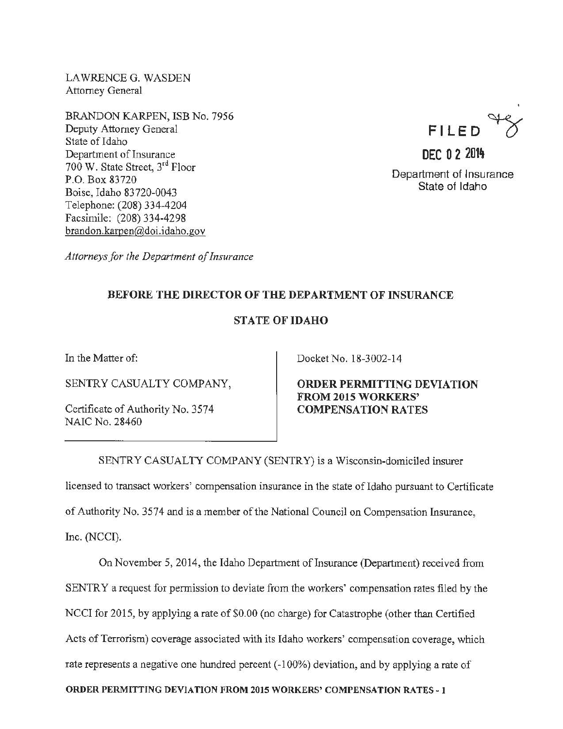LAWRENCEG. WASDEN Attorney General

BRANDON KARPEN, ISB No. 7956 Deputy Attorney General State of Idaho Department of Insurance 700 W. State Street, 3rd Floor P.O. Box 83720 Boise, Idaho 83720-0043 Telephone: (208) 334-4204 Facsimile: (208) 334-4298 brandon.karpen@doi. idaho .gov



Department of Insurance State of Idaho

*Attorneys for the Department of Insurance* 

## BEFORE THE DIRECTOR OF THE DEPARTMENT OF INSURANCE

## STATE OF IDAHO

In the Matter of:

SENTRY CASUALTY COMPANY,

Certificate of Authority No. 3574 NAIC No. 28460

Docket No. 18-3002-14

ORDER PERMITTING DEVIATION FROM 2015 WORKERS' COMPENSATION RATES

SENTRY CASUALTY COMPANY (SENTRY) is a Wisconsin-domiciled insurer licensed to transact workers' compensation insurance in the state of Idaho pursuant to Certificate of Authority No. 3574 and is a member of the National Council on Compensation Insurance, Inc. (NCCI).

On November 5, 2014, the Idaho Department of Insurance (Department) received from SENTRY a request for permission to deviate from the workers' compensation rates filed by the NCCI for 2015, by applying a rate of \$0.00 (no charge) for Catastrophe (other than Certified Acts of Terrorism) coverage associated with its Idaho workers' compensation coverage, which rate represents a negative one hundred percent (-100%) deviation, and by applying a rate of

ORDER PERMITTING DEVIATION FROM 2015 WORKERS' COMPENSATION RATES- I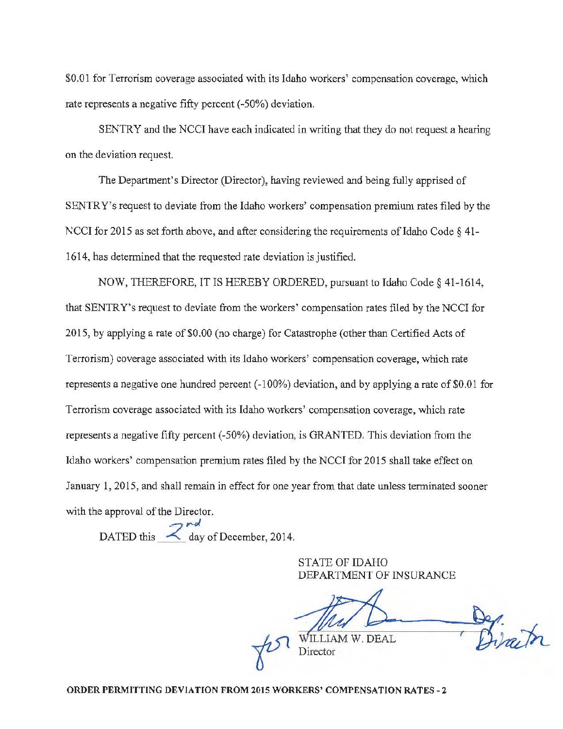\$0.01 for Terrorism coverage associated with its Idaho workers' compensation coverage, which rate represents a negative fifty percent (-50%) deviation.

SENTRY and the NCCI have each indicated in writing that they do not request a hearing on the deviation request.

The Department's Director (Director), having reviewed and being fully apprised of SENTRY's request to deviate from the Idaho workers' compensation premium rates filed by the NCCI for 2015 as set forth above, and after considering the requirements of Idaho Code  $\S$  41-1614, has determined that the requested rate deviation is justified.

NOW, THEREFORE, IT IS HEREBY ORDERED, pursuant to Idaho Code§ 41-1614, that SENTRY's request to deviate from the workers' compensation rates filed by the NCCI for 2015, by applying a rate of \$0.00 (no charge) for Catastrophe (other than Certified Acts of Terrorism) coverage associated with its Idaho workers' compensation coverage, which rate represents a negative one hundred percent (-100%) deviation, and by applying a rate of \$0.01 for Terrorism coverage associated with its Idaho workers' compensation coverage, which rate represents a negative fifty percent (-50%) deviation, is GRANTED. This deviation from the Idaho workers' compensation premium rates filed by the NCCI for 2015 shall take effect on January 1, 2015, and shall remain in effect for one year from that date unless terminated sooner with the approval of the Director.

 $7rd$ DATED this  $\leq$  day of December, 2014.

> STATE OF IDAHO DEPARTMENT OF INSURANCE

 $\sqrt{2}$   $\frac{1}{\sqrt{2}}$ 

ORDER PERMITTING DEVIATION FROM 2015 WORKERS' COMPENSATION RATES- 2